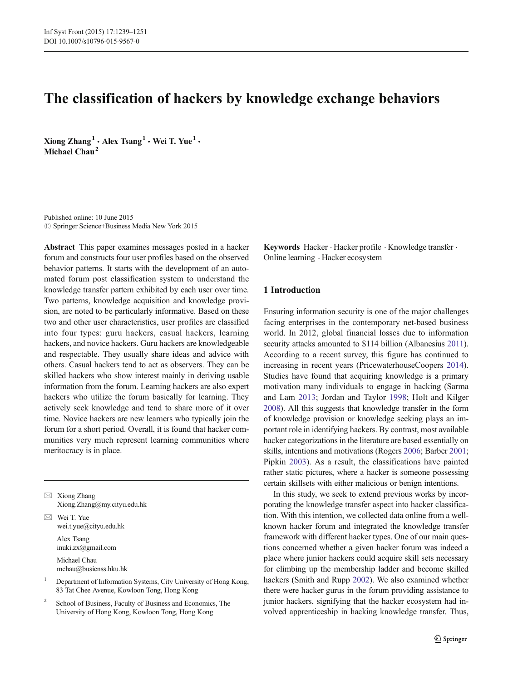# The classification of hackers by knowledge exchange behaviors

Xiong Zhang<sup>1</sup>  $\cdot$  Alex Tsang<sup>1</sup>  $\cdot$  Wei T. Yue<sup>1</sup>  $\cdot$ Michael Chau<sup>2</sup>

Published online: 10 June 2015  $\circ$  Springer Science+Business Media New York 2015

Abstract This paper examines messages posted in a hacker forum and constructs four user profiles based on the observed behavior patterns. It starts with the development of an automated forum post classification system to understand the knowledge transfer pattern exhibited by each user over time. Two patterns, knowledge acquisition and knowledge provision, are noted to be particularly informative. Based on these two and other user characteristics, user profiles are classified into four types: guru hackers, casual hackers, learning hackers, and novice hackers. Guru hackers are knowledgeable and respectable. They usually share ideas and advice with others. Casual hackers tend to act as observers. They can be skilled hackers who show interest mainly in deriving usable information from the forum. Learning hackers are also expert hackers who utilize the forum basically for learning. They actively seek knowledge and tend to share more of it over time. Novice hackers are new learners who typically join the forum for a short period. Overall, it is found that hacker communities very much represent learning communities where meritocracy is in place.

 $\boxtimes$  Xiong Zhang Xiong.Zhang@my.cityu.edu.hk

 $\boxtimes$  Wei T. Yue wei.t.yue@cityu.edu.hk

> Alex Tsang inuki.zx@gmail.com

Michael Chau mchau@busienss.hku.hk

<sup>1</sup> Department of Information Systems, City University of Hong Kong, 83 Tat Chee Avenue, Kowloon Tong, Hong Kong

<sup>2</sup> School of Business, Faculty of Business and Economics, The University of Hong Kong, Kowloon Tong, Hong Kong

Keywords Hacker · Hacker profile · Knowledge transfer · Online learning . Hacker ecosystem

# 1 Introduction

Ensuring information security is one of the major challenges facing enterprises in the contemporary net-based business world. In 2012, global financial losses due to information security attacks amounted to \$114 billion (Albanesius [2011\)](#page-11-0). According to a recent survey, this figure has continued to increasing in recent years (PricewaterhouseCoopers [2014\)](#page-12-0). Studies have found that acquiring knowledge is a primary motivation many individuals to engage in hacking (Sarma and Lam [2013;](#page-12-0) Jordan and Taylor [1998](#page-12-0); Holt and Kilger [2008\)](#page-12-0). All this suggests that knowledge transfer in the form of knowledge provision or knowledge seeking plays an important role in identifying hackers. By contrast, most available hacker categorizations in the literature are based essentially on skills, intentions and motivations (Rogers [2006](#page-12-0); Barber [2001;](#page-11-0) Pipkin [2003\)](#page-12-0). As a result, the classifications have painted rather static pictures, where a hacker is someone possessing certain skillsets with either malicious or benign intentions.

In this study, we seek to extend previous works by incorporating the knowledge transfer aspect into hacker classification. With this intention, we collected data online from a wellknown hacker forum and integrated the knowledge transfer framework with different hacker types. One of our main questions concerned whether a given hacker forum was indeed a place where junior hackers could acquire skill sets necessary for climbing up the membership ladder and become skilled hackers (Smith and Rupp [2002](#page-12-0)). We also examined whether there were hacker gurus in the forum providing assistance to junior hackers, signifying that the hacker ecosystem had involved apprenticeship in hacking knowledge transfer. Thus,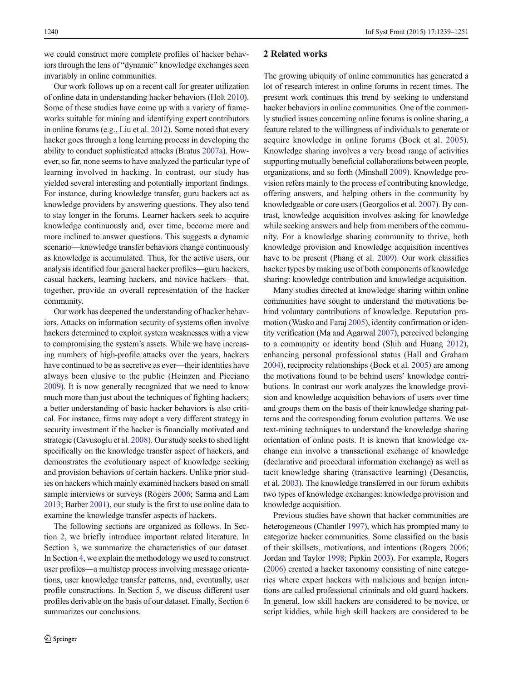we could construct more complete profiles of hacker behaviors through the lens of "dynamic" knowledge exchanges seen invariably in online communities.

Our work follows up on a recent call for greater utilization of online data in understanding hacker behaviors (Holt [2010\)](#page-11-0). Some of these studies have come up with a variety of frameworks suitable for mining and identifying expert contributors in online forums (e.g., Liu et al. [2012\)](#page-12-0). Some noted that every hacker goes through a long learning process in developing the ability to conduct sophisticated attacks (Bratus [2007a\)](#page-11-0). However, so far, none seems to have analyzed the particular type of learning involved in hacking. In contrast, our study has yielded several interesting and potentially important findings. For instance, during knowledge transfer, guru hackers act as knowledge providers by answering questions. They also tend to stay longer in the forums. Learner hackers seek to acquire knowledge continuously and, over time, become more and more inclined to answer questions. This suggests a dynamic scenario—knowledge transfer behaviors change continuously as knowledge is accumulated. Thus, for the active users, our analysis identified four general hacker profiles—guru hackers, casual hackers, learning hackers, and novice hackers—that, together, provide an overall representation of the hacker community.

Our work has deepened the understanding of hacker behaviors. Attacks on information security of systems often involve hackers determined to exploit system weaknesses with a view to compromising the system's assets. While we have increasing numbers of high-profile attacks over the years, hackers have continued to be as secretive as ever—their identities have always been elusive to the public (Heinzen and Picciano [2009\)](#page-11-0). It is now generally recognized that we need to know much more than just about the techniques of fighting hackers; a better understanding of basic hacker behaviors is also critical. For instance, firms may adopt a very different strategy in security investment if the hacker is financially motivated and strategic (Cavusoglu et al. [2008\)](#page-11-0). Our study seeks to shed light specifically on the knowledge transfer aspect of hackers, and demonstrates the evolutionary aspect of knowledge seeking and provision behaviors of certain hackers. Unlike prior studies on hackers which mainly examined hackers based on small sample interviews or surveys (Rogers [2006](#page-12-0); Sarma and Lam [2013;](#page-12-0) Barber [2001\)](#page-11-0), our study is the first to use online data to examine the knowledge transfer aspects of hackers.

The following sections are organized as follows. In Section 2, we briefly introduce important related literature. In Section [3,](#page-2-0) we summarize the characteristics of our dataset. In Section [4,](#page-3-0) we explain the methodology we used to construct user profiles—a multistep process involving message orientations, user knowledge transfer patterns, and, eventually, user profile constructions. In Section [5](#page-6-0), we discuss different user profiles derivable on the basis of our dataset. Finally, Section [6](#page-10-0) summarizes our conclusions.

#### 2 Related works

The growing ubiquity of online communities has generated a lot of research interest in online forums in recent times. The present work continues this trend by seeking to understand hacker behaviors in online communities. One of the commonly studied issues concerning online forums is online sharing, a feature related to the willingness of individuals to generate or acquire knowledge in online forums (Bock et al. [2005](#page-11-0)). Knowledge sharing involves a very broad range of activities supporting mutually beneficial collaborations between people, organizations, and so forth (Minshall [2009](#page-12-0)). Knowledge provision refers mainly to the process of contributing knowledge, offering answers, and helping others in the community by knowledgeable or core users (Georgolios et al. [2007\)](#page-11-0). By contrast, knowledge acquisition involves asking for knowledge while seeking answers and help from members of the community. For a knowledge sharing community to thrive, both knowledge provision and knowledge acquisition incentives have to be present (Phang et al. [2009\)](#page-12-0). Our work classifies hacker types by making use of both components of knowledge sharing: knowledge contribution and knowledge acquisition.

Many studies directed at knowledge sharing within online communities have sought to understand the motivations behind voluntary contributions of knowledge. Reputation promotion (Wasko and Faraj [2005](#page-12-0)), identity confirmation or identity verification (Ma and Agarwal [2007\)](#page-12-0), perceived belonging to a community or identity bond (Shih and Huang [2012\)](#page-12-0), enhancing personal professional status (Hall and Graham [2004\)](#page-11-0), reciprocity relationships (Bock et al. [2005](#page-11-0)) are among the motivations found to be behind users' knowledge contributions. In contrast our work analyzes the knowledge provision and knowledge acquisition behaviors of users over time and groups them on the basis of their knowledge sharing patterns and the corresponding forum evolution patterns. We use text-mining techniques to understand the knowledge sharing orientation of online posts. It is known that knowledge exchange can involve a transactional exchange of knowledge (declarative and procedural information exchange) as well as tacit knowledge sharing (transactive learning) (Desanctis, et al. [2003\)](#page-11-0). The knowledge transferred in our forum exhibits two types of knowledge exchanges: knowledge provision and knowledge acquisition.

Previous studies have shown that hacker communities are heterogeneous (Chantler [1997\)](#page-11-0), which has prompted many to categorize hacker communities. Some classified on the basis of their skillsets, motivations, and intentions (Rogers [2006;](#page-12-0) Jordan and Taylor [1998;](#page-12-0) Pipkin [2003](#page-12-0)). For example, Rogers [\(2006\)](#page-12-0) created a hacker taxonomy consisting of nine categories where expert hackers with malicious and benign intentions are called professional criminals and old guard hackers. In general, low skill hackers are considered to be novice, or script kiddies, while high skill hackers are considered to be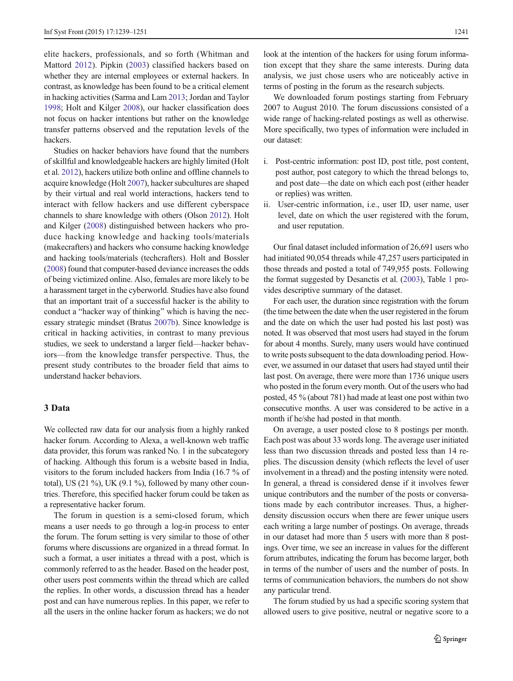<span id="page-2-0"></span>elite hackers, professionals, and so forth (Whitman and Mattord [2012](#page-12-0)). Pipkin ([2003\)](#page-12-0) classified hackers based on whether they are internal employees or external hackers. In contrast, as knowledge has been found to be a critical element in hacking activities (Sarma and Lam [2013](#page-12-0); Jordan and Taylor [1998;](#page-12-0) Holt and Kilger [2008\)](#page-12-0), our hacker classification does not focus on hacker intentions but rather on the knowledge transfer patterns observed and the reputation levels of the hackers.

Studies on hacker behaviors have found that the numbers of skillful and knowledgeable hackers are highly limited (Holt et al. [2012\)](#page-12-0), hackers utilize both online and offline channels to acquire knowledge (Holt [2007\)](#page-11-0), hacker subcultures are shaped by their virtual and real world interactions, hackers tend to interact with fellow hackers and use different cyberspace channels to share knowledge with others (Olson [2012](#page-12-0)). Holt and Kilger ([2008](#page-12-0)) distinguished between hackers who produce hacking knowledge and hacking tools/materials (makecrafters) and hackers who consume hacking knowledge and hacking tools/materials (techcrafters). Holt and Bossler [\(2008\)](#page-12-0) found that computer-based deviance increases the odds of being victimized online. Also, females are more likely to be a harassment target in the cyberworld. Studies have also found that an important trait of a successful hacker is the ability to conduct a "hacker way of thinking" which is having the necessary strategic mindset (Bratus [2007b\)](#page-11-0). Since knowledge is critical in hacking activities, in contrast to many previous studies, we seek to understand a larger field—hacker behaviors—from the knowledge transfer perspective. Thus, the present study contributes to the broader field that aims to understand hacker behaviors.

# 3 Data

We collected raw data for our analysis from a highly ranked hacker forum. According to Alexa, a well-known web traffic data provider, this forum was ranked No. 1 in the subcategory of hacking. Although this forum is a website based in India, visitors to the forum included hackers from India (16.7 % of total), US (21 %), UK (9.1 %), followed by many other countries. Therefore, this specified hacker forum could be taken as a representative hacker forum.

The forum in question is a semi-closed forum, which means a user needs to go through a log-in process to enter the forum. The forum setting is very similar to those of other forums where discussions are organized in a thread format. In such a format, a user initiates a thread with a post, which is commonly referred to as the header. Based on the header post, other users post comments within the thread which are called the replies. In other words, a discussion thread has a header post and can have numerous replies. In this paper, we refer to all the users in the online hacker forum as hackers; we do not

look at the intention of the hackers for using forum information except that they share the same interests. During data analysis, we just chose users who are noticeably active in terms of posting in the forum as the research subjects.

We downloaded forum postings starting from February 2007 to August 2010. The forum discussions consisted of a wide range of hacking-related postings as well as otherwise. More specifically, two types of information were included in our dataset:

- i. Post-centric information: post ID, post title, post content, post author, post category to which the thread belongs to, and post date—the date on which each post (either header or replies) was written.
- ii. User-centric information, i.e., user ID, user name, user level, date on which the user registered with the forum, and user reputation.

Our final dataset included information of 26,691 users who had initiated 90,054 threads while 47,257 users participated in those threads and posted a total of 749,955 posts. Following the format suggested by Desanctis et al. [\(2003\)](#page-11-0), Table [1](#page-3-0) provides descriptive summary of the dataset.

For each user, the duration since registration with the forum (the time between the date when the user registered in the forum and the date on which the user had posted his last post) was noted. It was observed that most users had stayed in the forum for about 4 months. Surely, many users would have continued to write posts subsequent to the data downloading period. However, we assumed in our dataset that users had stayed until their last post. On average, there were more than 1736 unique users who posted in the forum every month. Out of the users who had posted, 45 % (about 781) had made at least one post within two consecutive months. A user was considered to be active in a month if he/she had posted in that month.

On average, a user posted close to 8 postings per month. Each post was about 33 words long. The average user initiated less than two discussion threads and posted less than 14 replies. The discussion density (which reflects the level of user involvement in a thread) and the posting intensity were noted. In general, a thread is considered dense if it involves fewer unique contributors and the number of the posts or conversations made by each contributor increases. Thus, a higherdensity discussion occurs when there are fewer unique users each writing a large number of postings. On average, threads in our dataset had more than 5 users with more than 8 postings. Over time, we see an increase in values for the different forum attributes, indicating the forum has become larger, both in terms of the number of users and the number of posts. In terms of communication behaviors, the numbers do not show any particular trend.

The forum studied by us had a specific scoring system that allowed users to give positive, neutral or negative score to a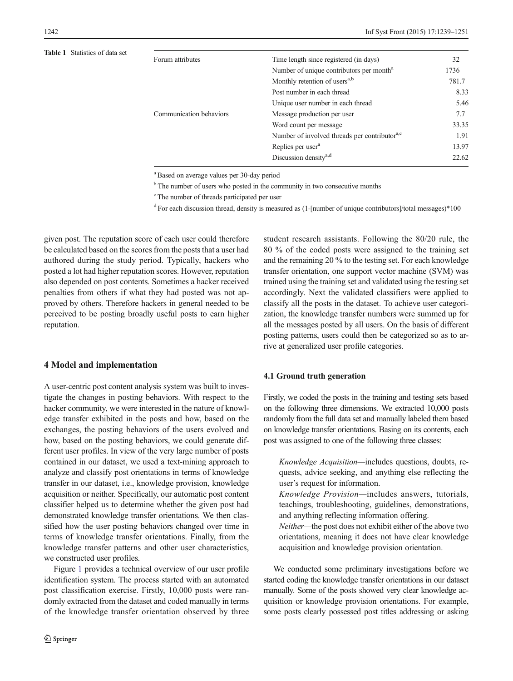#### Table 1 Statistics of data set

<span id="page-3-0"></span>

|  |  | Inf Syst Front (2015) 17:1239-1251 |
|--|--|------------------------------------|

| Forum attributes        | Time length since registered (in days)                    | 32    |
|-------------------------|-----------------------------------------------------------|-------|
|                         | Number of unique contributors per month <sup>a</sup>      | 1736  |
|                         | Monthly retention of users <sup>a,b</sup>                 | 781.7 |
|                         | Post number in each thread                                | 8.33  |
|                         | Unique user number in each thread                         | 5.46  |
| Communication behaviors | Message production per user                               | 7.7   |
|                         | Word count per message                                    | 33.35 |
|                         | Number of involved threads per contributor <sup>a,c</sup> | 1.91  |
|                         | Replies per user <sup>a</sup>                             | 13.97 |
|                         | Discussion density <sup>a,d</sup>                         | 22.62 |

a Based on average values per 30-day period

<sup>b</sup> The number of users who posted in the community in two consecutive months

<sup>c</sup> The number of threads participated per user

<sup>d</sup> For each discussion thread, density is measured as (1-[number of unique contributors]/total messages)\*100

given post. The reputation score of each user could therefore be calculated based on the scores from the posts that a user had authored during the study period. Typically, hackers who posted a lot had higher reputation scores. However, reputation also depended on post contents. Sometimes a hacker received penalties from others if what they had posted was not approved by others. Therefore hackers in general needed to be perceived to be posting broadly useful posts to earn higher reputation.

#### 4 Model and implementation

A user-centric post content analysis system was built to investigate the changes in posting behaviors. With respect to the hacker community, we were interested in the nature of knowledge transfer exhibited in the posts and how, based on the exchanges, the posting behaviors of the users evolved and how, based on the posting behaviors, we could generate different user profiles. In view of the very large number of posts contained in our dataset, we used a text-mining approach to analyze and classify post orientations in terms of knowledge transfer in our dataset, i.e., knowledge provision, knowledge acquisition or neither. Specifically, our automatic post content classifier helped us to determine whether the given post had demonstrated knowledge transfer orientations. We then classified how the user posting behaviors changed over time in terms of knowledge transfer orientations. Finally, from the knowledge transfer patterns and other user characteristics, we constructed user profiles.

Figure [1](#page-4-0) provides a technical overview of our user profile identification system. The process started with an automated post classification exercise. Firstly, 10,000 posts were randomly extracted from the dataset and coded manually in terms of the knowledge transfer orientation observed by three student research assistants. Following the 80/20 rule, the 80 % of the coded posts were assigned to the training set and the remaining 20 % to the testing set. For each knowledge transfer orientation, one support vector machine (SVM) was trained using the training set and validated using the testing set accordingly. Next the validated classifiers were applied to classify all the posts in the dataset. To achieve user categorization, the knowledge transfer numbers were summed up for all the messages posted by all users. On the basis of different posting patterns, users could then be categorized so as to arrive at generalized user profile categories.

## 4.1 Ground truth generation

Firstly, we coded the posts in the training and testing sets based on the following three dimensions. We extracted 10,000 posts randomly from the full data set and manually labeled them based on knowledge transfer orientations. Basing on its contents, each post was assigned to one of the following three classes:

Knowledge Acquisition—includes questions, doubts, requests, advice seeking, and anything else reflecting the user's request for information.

Knowledge Provision—includes answers, tutorials, teachings, troubleshooting, guidelines, demonstrations, and anything reflecting information offering.

Neither—the post does not exhibit either of the above two orientations, meaning it does not have clear knowledge acquisition and knowledge provision orientation.

We conducted some preliminary investigations before we started coding the knowledge transfer orientations in our dataset manually. Some of the posts showed very clear knowledge acquisition or knowledge provision orientations. For example, some posts clearly possessed post titles addressing or asking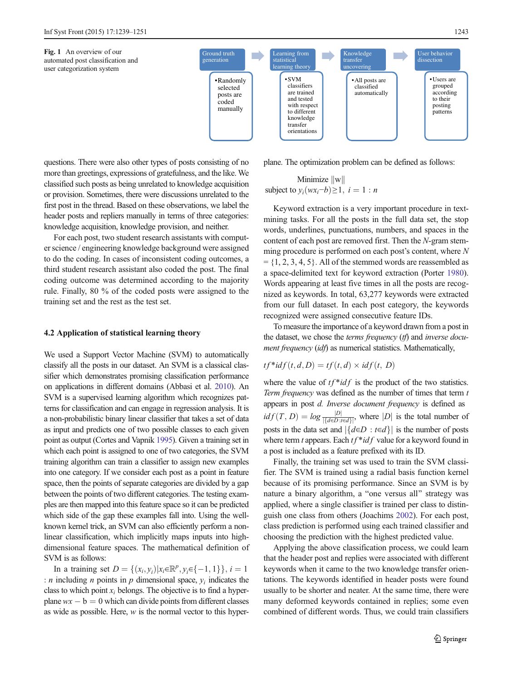<span id="page-4-0"></span>

knowledge transfer orientations

questions. There were also other types of posts consisting of no more than greetings, expressions of gratefulness, and the like. We classified such posts as being unrelated to knowledge acquisition or provision. Sometimes, there were discussions unrelated to the first post in the thread. Based on these observations, we label the header posts and repliers manually in terms of three categories: knowledge acquisition, knowledge provision, and neither.

For each post, two student research assistants with computer science / engineering knowledge background were assigned to do the coding. In cases of inconsistent coding outcomes, a third student research assistant also coded the post. The final coding outcome was determined according to the majority rule. Finally, 80 % of the coded posts were assigned to the training set and the rest as the test set.

#### 4.2 Application of statistical learning theory

We used a Support Vector Machine (SVM) to automatically classify all the posts in our dataset. An SVM is a classical classifier which demonstrates promising classification performance on applications in different domains (Abbasi et al. [2010](#page-11-0)). An SVM is a supervised learning algorithm which recognizes patterns for classification and can engage in regression analysis. It is a non-probabilistic binary linear classifier that takes a set of data as input and predicts one of two possible classes to each given point as output (Cortes and Vapnik [1995](#page-11-0)). Given a training set in which each point is assigned to one of two categories, the SVM training algorithm can train a classifier to assign new examples into one category. If we consider each post as a point in feature space, then the points of separate categories are divided by a gap between the points of two different categories. The testing examples are then mapped into this feature space so it can be predicted which side of the gap these examples fall into. Using the wellknown kernel trick, an SVM can also efficiently perform a nonlinear classification, which implicitly maps inputs into highdimensional feature spaces. The mathematical definition of SVM is as follows:

In a training set  $D = \{(x_i, y_i) | x_i \in \mathbb{R}^p, y_i \in \{-1, 1\} \}, i = 1$ <br>including *n* points in a dimensional space *y* indicates the : *n* including *n* points in *p* dimensional space,  $y_i$  indicates the class to which point  $x_i$  belongs. The objective is to find a hyperplane  $wx - b = 0$  which can divide points from different classes<br>as wide as possible. Here  $w$  is the normal vector to this hyper as wide as possible. Here,  $w$  is the normal vector to this hyper-

plane. The optimization problem can be defined as follows:

Minimize llwll subject to  $y_i(wx_i-b) \ge 1, i = 1:n$ 

Keyword extraction is a very important procedure in textmining tasks. For all the posts in the full data set, the stop words, underlines, punctuations, numbers, and spaces in the content of each post are removed first. Then the N-gram stemming procedure is performed on each post's content, where N  $= \{1, 2, 3, 4, 5\}$ . All of the stemmed words are reassembled as a space-delimited text for keyword extraction (Porter [1980\)](#page-12-0). Words appearing at least five times in all the posts are recognized as keywords. In total, 63,277 keywords were extracted from our full dataset. In each post category, the keywords recognized were assigned consecutive feature IDs.

To measure the importance of a keyword drawn from a post in the dataset, we chose the terms frequency  $(tf)$  and inverse document frequency (idf) as numerical statistics. Mathematically,

$$
tf^*idf(t, d, D) = tf(t, d) \times idf(t, D)
$$

where the value of  $tf * idf$  is the product of the two statistics. Term frequency was defined as the number of times that term  $t$ appears in post d. Inverse document frequency is defined as  $id f(T, D) = log \frac{|D|}{|\{d \in D : t \in d\}|}$ , where  $|D|$  is the total number of posts in the data set and  $|\{d \in D : t \in d\}|$  is the number of posts where term t appears. Each  $tf * idf$  value for a keyword found in a post is included as a feature prefixed with its ID.

Finally, the training set was used to train the SVM classifier. The SVM is trained using a radial basis function kernel because of its promising performance. Since an SVM is by nature a binary algorithm, a "one versus all" strategy was applied, where a single classifier is trained per class to distinguish one class from others (Joachims [2002\)](#page-12-0). For each post, class prediction is performed using each trained classifier and choosing the prediction with the highest predicted value.

Applying the above classification process, we could learn that the header post and replies were associated with different keywords when it came to the two knowledge transfer orientations. The keywords identified in header posts were found usually to be shorter and neater. At the same time, there were many deformed keywords contained in replies; some even combined of different words. Thus, we could train classifiers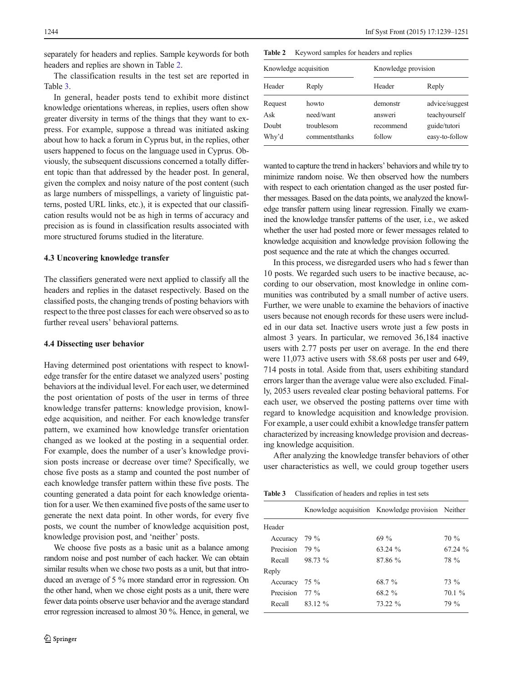separately for headers and replies. Sample keywords for both headers and replies are shown in Table 2.

The classification results in the test set are reported in Table 3.

In general, header posts tend to exhibit more distinct knowledge orientations whereas, in replies, users often show greater diversity in terms of the things that they want to express. For example, suppose a thread was initiated asking about how to hack a forum in Cyprus but, in the replies, other users happened to focus on the language used in Cyprus. Obviously, the subsequent discussions concerned a totally different topic than that addressed by the header post. In general, given the complex and noisy nature of the post content (such as large numbers of misspellings, a variety of linguistic patterns, posted URL links, etc.), it is expected that our classification results would not be as high in terms of accuracy and precision as is found in classification results associated with more structured forums studied in the literature.

## 4.3 Uncovering knowledge transfer

The classifiers generated were next applied to classify all the headers and replies in the dataset respectively. Based on the classified posts, the changing trends of posting behaviors with respect to the three post classes for each were observed so as to further reveal users' behavioral patterns.

#### 4.4 Dissecting user behavior

Having determined post orientations with respect to knowledge transfer for the entire dataset we analyzed users' posting behaviors at the individual level. For each user, we determined the post orientation of posts of the user in terms of three knowledge transfer patterns: knowledge provision, knowledge acquisition, and neither. For each knowledge transfer pattern, we examined how knowledge transfer orientation changed as we looked at the posting in a sequential order. For example, does the number of a user's knowledge provision posts increase or decrease over time? Specifically, we chose five posts as a stamp and counted the post number of each knowledge transfer pattern within these five posts. The counting generated a data point for each knowledge orientation for a user. We then examined five posts of the same user to generate the next data point. In other words, for every five posts, we count the number of knowledge acquisition post, knowledge provision post, and 'neither' posts.

We choose five posts as a basic unit as a balance among random noise and post number of each hacker. We can obtain similar results when we chose two posts as a unit, but that introduced an average of 5 % more standard error in regression. On the other hand, when we chose eight posts as a unit, there were fewer data points observe user behavior and the average standard error regression increased to almost 30 %. Hence, in general, we

| Table 2 | Keyword samples for headers and replies |  |  |  |  |  |
|---------|-----------------------------------------|--|--|--|--|--|
|---------|-----------------------------------------|--|--|--|--|--|

| Knowledge acquisition            |                                                    | Knowledge provision                        |                                                                   |
|----------------------------------|----------------------------------------------------|--------------------------------------------|-------------------------------------------------------------------|
| Header                           | Reply                                              | Header                                     | Reply                                                             |
| Request<br>Ask<br>Doubt<br>Why'd | howto<br>need/want<br>troublesom<br>commentsthanks | demonstr<br>answeri<br>recommend<br>follow | advice/suggest<br>teachyourself<br>guide/tutori<br>easy-to-follow |

wanted to capture the trend in hackers' behaviors and while try to minimize random noise. We then observed how the numbers with respect to each orientation changed as the user posted further messages. Based on the data points, we analyzed the knowledge transfer pattern using linear regression. Finally we examined the knowledge transfer patterns of the user, i.e., we asked whether the user had posted more or fewer messages related to knowledge acquisition and knowledge provision following the post sequence and the rate at which the changes occurred.

In this process, we disregarded users who had s fewer than 10 posts. We regarded such users to be inactive because, according to our observation, most knowledge in online communities was contributed by a small number of active users. Further, we were unable to examine the behaviors of inactive users because not enough records for these users were included in our data set. Inactive users wrote just a few posts in almost 3 years. In particular, we removed 36,184 inactive users with 2.77 posts per user on average. In the end there were 11,073 active users with 58.68 posts per user and 649, 714 posts in total. Aside from that, users exhibiting standard errors larger than the average value were also excluded. Finally, 2053 users revealed clear posting behavioral patterns. For each user, we observed the posting patterns over time with regard to knowledge acquisition and knowledge provision. For example, a user could exhibit a knowledge transfer pattern characterized by increasing knowledge provision and decreasing knowledge acquisition.

After analyzing the knowledge transfer behaviors of other user characteristics as well, we could group together users

Table 3 Classification of headers and replies in test sets

|                  | Knowledge acquisition Knowledge provision Neither |         |        |
|------------------|---------------------------------------------------|---------|--------|
| Header           |                                                   |         |        |
| Accuracy         | 79 %                                              | $69\%$  | $70\%$ |
| Precision $79\%$ |                                                   | 63.24%  | 67.24% |
| Recall           | 98.73 %                                           | 87.86 % | 78 %   |
| Reply            |                                                   |         |        |
| Accuracy 75 %    |                                                   | 68.7 %  | 73 %   |
| Precision 77 %   |                                                   | 68.2 %  | 70.1%  |
| Recall           | 83.12 %                                           | 73.22 % | 79 %   |
|                  |                                                   |         |        |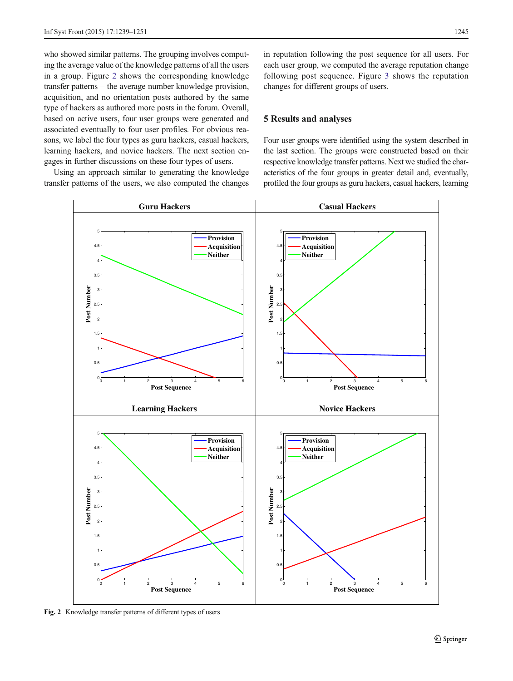<span id="page-6-0"></span>who showed similar patterns. The grouping involves computing the average value of the knowledge patterns of all the users in a group. Figure 2 shows the corresponding knowledge transfer patterns – the average number knowledge provision, acquisition, and no orientation posts authored by the same type of hackers as authored more posts in the forum. Overall, based on active users, four user groups were generated and associated eventually to four user profiles. For obvious reasons, we label the four types as guru hackers, casual hackers, learning hackers, and novice hackers. The next section engages in further discussions on these four types of users.

Using an approach similar to generating the knowledge transfer patterns of the users, we also computed the changes in reputation following the post sequence for all users. For each user group, we computed the average reputation change following post sequence. Figure [3](#page-7-0) shows the reputation changes for different groups of users.

## 5 Results and analyses

Four user groups were identified using the system described in the last section. The groups were constructed based on their respective knowledge transfer patterns. Next we studied the characteristics of the four groups in greater detail and, eventually, profiled the four groups as guru hackers, casual hackers, learning



Fig. 2 Knowledge transfer patterns of different types of users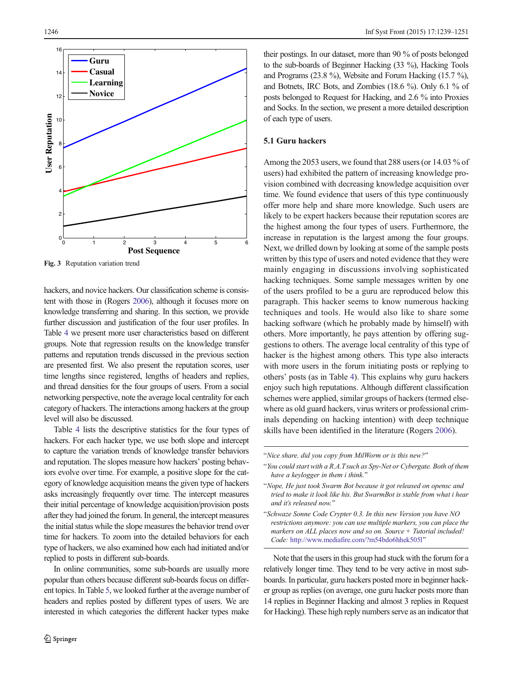<span id="page-7-0"></span>

Fig. 3 Reputation variation trend

hackers, and novice hackers. Our classification scheme is consistent with those in (Rogers [2006](#page-12-0)), although it focuses more on knowledge transferring and sharing. In this section, we provide further discussion and justification of the four user profiles. In Table [4](#page-8-0) we present more user characteristics based on different groups. Note that regression results on the knowledge transfer patterns and reputation trends discussed in the previous section are presented first. We also present the reputation scores, user time lengths since registered, lengths of headers and replies, and thread densities for the four groups of users. From a social networking perspective, note the average local centrality for each category of hackers. The interactions among hackers at the group level will also be discussed.

Table [4](#page-8-0) lists the descriptive statistics for the four types of hackers. For each hacker type, we use both slope and intercept to capture the variation trends of knowledge transfer behaviors and reputation. The slopes measure how hackers' posting behaviors evolve over time. For example, a positive slope for the category of knowledge acquisition means the given type of hackers asks increasingly frequently over time. The intercept measures their initial percentage of knowledge acquisition/provision posts after they had joined the forum. In general, the intercept measures the initial status while the slope measures the behavior trend over time for hackers. To zoom into the detailed behaviors for each type of hackers, we also examined how each had initiated and/or replied to posts in different sub-boards.

In online communities, some sub-boards are usually more popular than others because different sub-boards focus on different topics. In Table [5](#page-8-0), we looked further at the average number of headers and replies posted by different types of users. We are interested in which categories the different hacker types make

their postings. In our dataset, more than 90 % of posts belonged to the sub-boards of Beginner Hacking (33 %), Hacking Tools and Programs (23.8 %), Website and Forum Hacking (15.7 %), and Botnets, IRC Bots, and Zombies (18.6 %). Only 6.1 % of posts belonged to Request for Hacking, and 2.6 % into Proxies and Socks. In the section, we present a more detailed description of each type of users.

# 5.1 Guru hackers

Among the 2053 users, we found that 288 users (or 14.03 % of users) had exhibited the pattern of increasing knowledge provision combined with decreasing knowledge acquisition over time. We found evidence that users of this type continuously offer more help and share more knowledge. Such users are likely to be expert hackers because their reputation scores are the highest among the four types of users. Furthermore, the increase in reputation is the largest among the four groups. Next, we drilled down by looking at some of the sample posts written by this type of users and noted evidence that they were mainly engaging in discussions involving sophisticated hacking techniques. Some sample messages written by one of the users profiled to be a guru are reproduced below this paragraph. This hacker seems to know numerous hacking techniques and tools. He would also like to share some hacking software (which he probably made by himself) with others. More importantly, he pays attention by offering suggestions to others. The average local centrality of this type of hacker is the highest among others. This type also interacts with more users in the forum initiating posts or replying to others' posts (as in Table [4](#page-8-0)). This explains why guru hackers enjoy such high reputations. Although different classification schemes were applied, similar groups of hackers (termed elsewhere as old guard hackers, virus writers or professional criminals depending on hacking intention) with deep technique skills have been identified in the literature (Rogers [2006](#page-12-0)).

Note that the users in this group had stuck with the forum for a relatively longer time. They tend to be very active in most subboards. In particular, guru hackers posted more in beginner hacker group as replies (on average, one guru hacker posts more than 14 replies in Beginner Hacking and almost 3 replies in Request for Hacking). These high reply numbers serve as an indicator that

<sup>&</sup>quot;Nice share, did you copy from MilWorm or is this new?"

<sup>&</sup>quot;You could start with a R.A.T such as Spy-Net or Cybergate. Both of them have a keylogger in them i think."

<sup>&</sup>quot;Nope, He just took Swarm Bot because it got released on opensc and tried to make it look like his. But SwarmBot is stable from what i hear and it's released now."

<sup>&</sup>quot;Schwaze Sonne Code Crypter 0.3. In this new Version you have NO restrictions anymore: you can use multiple markers, you can place the markers on ALL places now and so on. Source + Tutorial included! Code: <http://www.mediafire.com/?m54bdo6hhek505l>^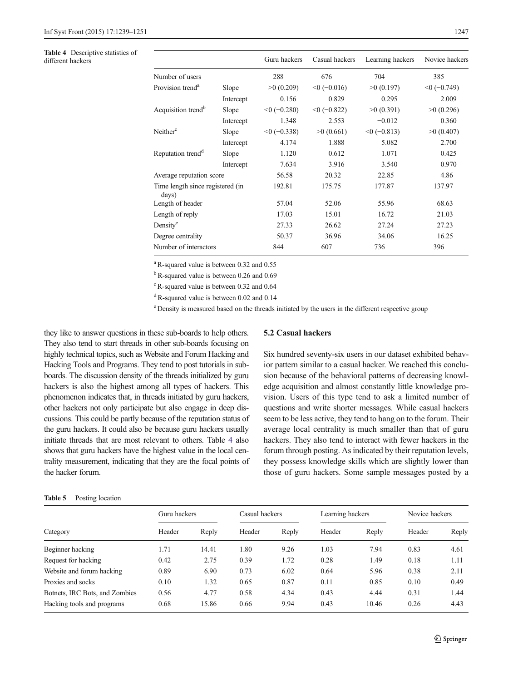<span id="page-8-0"></span>Table 4 Descriptive statistics of different hackers

| <b>Table 4</b> Descriptive statistics of<br>different hackers |                                           |           | Guru hackers  | Casual hackers | Learning hackers | Novice hackers |
|---------------------------------------------------------------|-------------------------------------------|-----------|---------------|----------------|------------------|----------------|
|                                                               | Number of users                           |           | 288           | 676            | 704              | 385            |
|                                                               | Provision trend <sup>a</sup>              | Slope     | $>0$ (0.209)  | $0(-0.016)$    | $>0$ (0.197)     | $<0$ (-0.749)  |
|                                                               |                                           | Intercept | 0.156         | 0.829          | 0.295            | 2.009          |
|                                                               | Acquisition trend <sup>b</sup>            | Slope     | $<0$ (-0.280) | $<0$ (-0.822)  | $>0$ (0.391)     | $>0$ (0.296)   |
|                                                               |                                           | Intercept | 1.348         | 2.553          | $-0.012$         | 0.360          |
|                                                               | Neither <sup>c</sup>                      | Slope     | $<0$ (-0.338) | $>0$ (0.661)   | $<0$ (-0.813)    | $>0$ (0.407)   |
|                                                               |                                           | Intercept | 4.174         | 1.888          | 5.082            | 2.700          |
|                                                               | Reputation trend <sup>d</sup>             | Slope     | 1.120         | 0.612          | 1.071            | 0.425          |
|                                                               |                                           | Intercept | 7.634         | 3.916          | 3.540            | 0.970          |
|                                                               | Average reputation score                  |           | 56.58         | 20.32          | 22.85            | 4.86           |
|                                                               | Time length since registered (in<br>days) |           | 192.81        | 175.75         | 177.87           | 137.97         |
|                                                               | Length of header                          |           | 57.04         | 52.06          | 55.96            | 68.63          |
|                                                               | Length of reply                           |           | 17.03         | 15.01          | 16.72            | 21.03          |
|                                                               | Density <sup>e</sup>                      |           | 27.33         | 26.62          | 27.24            | 27.23          |
|                                                               | Degree centrality                         |           | 50.37         | 36.96          | 34.06            | 16.25          |
|                                                               | Number of interactors                     |           | 844           | 607            | 736              | 396            |

<sup>a</sup> R-squared value is between 0.32 and 0.55

 $b$ R-squared value is between 0.26 and 0.69

c R-squared value is between 0.32 and 0.64

 $dR$ -squared value is between 0.02 and 0.14

<sup>e</sup> Density is measured based on the threads initiated by the users in the different respective group

they like to answer questions in these sub-boards to help others. They also tend to start threads in other sub-boards focusing on highly technical topics, such as Website and Forum Hacking and Hacking Tools and Programs. They tend to post tutorials in subboards. The discussion density of the threads initialized by guru hackers is also the highest among all types of hackers. This phenomenon indicates that, in threads initiated by guru hackers, other hackers not only participate but also engage in deep discussions. This could be partly because of the reputation status of the guru hackers. It could also be because guru hackers usually initiate threads that are most relevant to others. Table 4 also shows that guru hackers have the highest value in the local centrality measurement, indicating that they are the focal points of the hacker forum.

#### Table 5 Posting location

#### 5.2 Casual hackers

Six hundred seventy-six users in our dataset exhibited behavior pattern similar to a casual hacker. We reached this conclusion because of the behavioral patterns of decreasing knowledge acquisition and almost constantly little knowledge provision. Users of this type tend to ask a limited number of questions and write shorter messages. While casual hackers seem to be less active, they tend to hang on to the forum. Their average local centrality is much smaller than that of guru hackers. They also tend to interact with fewer hackers in the forum through posting. As indicated by their reputation levels, they possess knowledge skills which are slightly lower than those of guru hackers. Some sample messages posted by a

|                                |        | Guru hackers |        | Casual hackers |        | Learning hackers |        | Novice hackers |  |
|--------------------------------|--------|--------------|--------|----------------|--------|------------------|--------|----------------|--|
| Category                       | Header | Reply        | Header | Reply          | Header | Reply            | Header | Reply          |  |
| Beginner hacking               | 1.71   | 14.41        | 1.80   | 9.26           | 1.03   | 7.94             | 0.83   | 4.61           |  |
| Request for hacking            | 0.42   | 2.75         | 0.39   | 1.72           | 0.28   | 1.49             | 0.18   | 1.11           |  |
| Website and forum hacking      | 0.89   | 6.90         | 0.73   | 6.02           | 0.64   | 5.96             | 0.38   | 2.11           |  |
| Proxies and socks              | 0.10   | 1.32         | 0.65   | 0.87           | 0.11   | 0.85             | 0.10   | 0.49           |  |
| Botnets, IRC Bots, and Zombies | 0.56   | 4.77         | 0.58   | 4.34           | 0.43   | 4.44             | 0.31   | 1.44           |  |
| Hacking tools and programs     | 0.68   | 15.86        | 0.66   | 9.94           | 0.43   | 10.46            | 0.26   | 4.43           |  |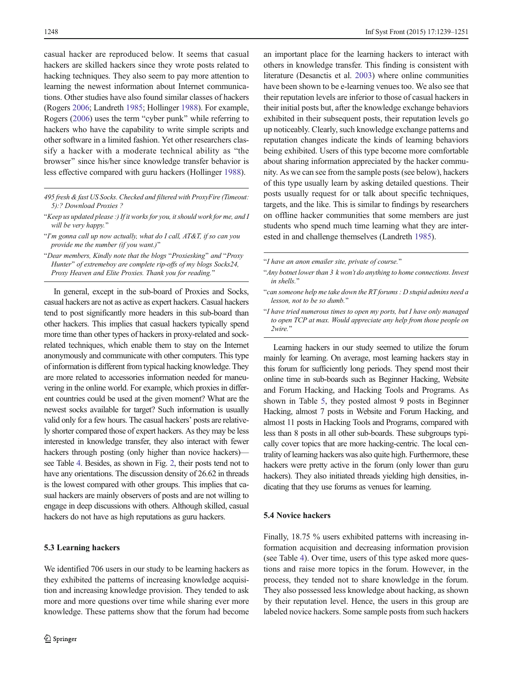casual hacker are reproduced below. It seems that casual hackers are skilled hackers since they wrote posts related to hacking techniques. They also seem to pay more attention to learning the newest information about Internet communications. Other studies have also found similar classes of hackers (Rogers [2006;](#page-12-0) Landreth [1985;](#page-12-0) Hollinger [1988\)](#page-11-0). For example, Rogers ([2006](#page-12-0)) uses the term "cyber punk" while referring to hackers who have the capability to write simple scripts and other software in a limited fashion. Yet other researchers classify a hacker with a moderate technical ability as "the browser" since his/her since knowledge transfer behavior is less effective compared with guru hackers (Hollinger [1988\)](#page-11-0).

In general, except in the sub-board of Proxies and Socks, casual hackers are not as active as expert hackers. Casual hackers tend to post significantly more headers in this sub-board than other hackers. This implies that casual hackers typically spend more time than other types of hackers in proxy-related and sockrelated techniques, which enable them to stay on the Internet anonymously and communicate with other computers. This type of information is different from typical hacking knowledge. They are more related to accessories information needed for maneuvering in the online world. For example, which proxies in different countries could be used at the given moment? What are the newest socks available for target? Such information is usually valid only for a few hours. The casual hackers' posts are relatively shorter compared those of expert hackers. As they may be less interested in knowledge transfer, they also interact with fewer hackers through posting (only higher than novice hackers) see Table [4](#page-8-0). Besides, as shown in Fig. [2](#page-6-0), their posts tend not to have any orientations. The discussion density of 26.62 in threads is the lowest compared with other groups. This implies that casual hackers are mainly observers of posts and are not willing to engage in deep discussions with others. Although skilled, casual hackers do not have as high reputations as guru hackers.

#### 5.3 Learning hackers

We identified 706 users in our study to be learning hackers as they exhibited the patterns of increasing knowledge acquisition and increasing knowledge provision. They tended to ask more and more questions over time while sharing ever more knowledge. These patterns show that the forum had become

an important place for the learning hackers to interact with others in knowledge transfer. This finding is consistent with literature (Desanctis et al. [2003\)](#page-11-0) where online communities have been shown to be e-learning venues too. We also see that their reputation levels are inferior to those of casual hackers in their initial posts but, after the knowledge exchange behaviors exhibited in their subsequent posts, their reputation levels go up noticeably. Clearly, such knowledge exchange patterns and reputation changes indicate the kinds of learning behaviors being exhibited. Users of this type become more comfortable about sharing information appreciated by the hacker community. As we can see from the sample posts (see below), hackers of this type usually learn by asking detailed questions. Their posts usually request for or talk about specific techniques, targets, and the like. This is similar to findings by researchers on offline hacker communities that some members are just students who spend much time learning what they are interested in and challenge themselves (Landreth [1985\)](#page-12-0).

"I have an anon emailer site, private of course."

"Any botnet lower than 3 k won't do anything to home connections. Invest in shells.'

- "can someone help me take down the RT forums :  $D$  stupid admins need a  $lesson, not to be so dumb.$
- "I have tried numerous times to open my ports, but I have only managed to open TCP at max. Would appreciate any help from those people on 2wire.^

Learning hackers in our study seemed to utilize the forum mainly for learning. On average, most learning hackers stay in this forum for sufficiently long periods. They spend most their online time in sub-boards such as Beginner Hacking, Website and Forum Hacking, and Hacking Tools and Programs. As shown in Table [5,](#page-8-0) they posted almost 9 posts in Beginner Hacking, almost 7 posts in Website and Forum Hacking, and almost 11 posts in Hacking Tools and Programs, compared with less than 8 posts in all other sub-boards. These subgroups typically cover topics that are more hacking-centric. The local centrality of learning hackers was also quite high. Furthermore, these hackers were pretty active in the forum (only lower than guru hackers). They also initiated threads yielding high densities, indicating that they use forums as venues for learning.

## 5.4 Novice hackers

Finally, 18.75 % users exhibited patterns with increasing information acquisition and decreasing information provision (see Table [4](#page-8-0)). Over time, users of this type asked more questions and raise more topics in the forum. However, in the process, they tended not to share knowledge in the forum. They also possessed less knowledge about hacking, as shown by their reputation level. Hence, the users in this group are labeled novice hackers. Some sample posts from such hackers

<sup>495</sup> fresh & fast US Socks. Checked and filtered with ProxyFire (Timeout: 5):? Download Proxies ?

<sup>&</sup>quot;Keep us updated please :) If it works for you, it should work for me, and I will be very happy."

<sup>&</sup>quot;I'm gonna call up now actually, what do I call,  $AT&T$ , if so can you provide me the number (if you want.)'

<sup>&</sup>quot;Dear members, Kindly note that the blogs "Proxiesking" and "Proxy Hunter" of extremeboy are complete rip-offs of my blogs Socks24, Proxy Heaven and Elite Proxies. Thank you for reading."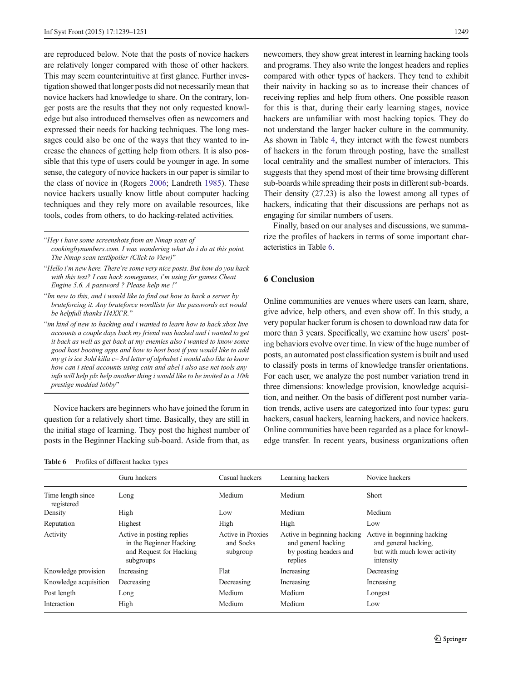<span id="page-10-0"></span>are reproduced below. Note that the posts of novice hackers are relatively longer compared with those of other hackers. This may seem counterintuitive at first glance. Further investigation showed that longer posts did not necessarily mean that novice hackers had knowledge to share. On the contrary, longer posts are the results that they not only requested knowledge but also introduced themselves often as newcomers and expressed their needs for hacking techniques. The long messages could also be one of the ways that they wanted to increase the chances of getting help from others. It is also possible that this type of users could be younger in age. In some sense, the category of novice hackers in our paper is similar to the class of novice in (Rogers [2006](#page-12-0); Landreth [1985](#page-12-0)). These novice hackers usually know little about computer hacking techniques and they rely more on available resources, like tools, codes from others, to do hacking-related activities.

Novice hackers are beginners who have joined the forum in question for a relatively short time. Basically, they are still in the initial stage of learning. They post the highest number of posts in the Beginner Hacking sub-board. Aside from that, as

| Table 6 |  |  | Profiles of different hacker types |  |  |
|---------|--|--|------------------------------------|--|--|
|---------|--|--|------------------------------------|--|--|

newcomers, they show great interest in learning hacking tools and programs. They also write the longest headers and replies compared with other types of hackers. They tend to exhibit their naivity in hacking so as to increase their chances of receiving replies and help from others. One possible reason for this is that, during their early learning stages, novice hackers are unfamiliar with most hacking topics. They do not understand the larger hacker culture in the community. As shown in Table [4](#page-8-0), they interact with the fewest numbers of hackers in the forum through posting, have the smallest local centrality and the smallest number of interactors. This suggests that they spend most of their time browsing different sub-boards while spreading their posts in different sub-boards. Their density (27.23) is also the lowest among all types of hackers, indicating that their discussions are perhaps not as engaging for similar numbers of users.

Finally, based on our analyses and discussions, we summarize the profiles of hackers in terms of some important characteristics in Table 6.

## 6 Conclusion

Online communities are venues where users can learn, share, give advice, help others, and even show off. In this study, a very popular hacker forum is chosen to download raw data for more than 3 years. Specifically, we examine how users' posting behaviors evolve over time. In view of the huge number of posts, an automated post classification system is built and used to classify posts in terms of knowledge transfer orientations. For each user, we analyze the post number variation trend in three dimensions: knowledge provision, knowledge acquisition, and neither. On the basis of different post number variation trends, active users are categorized into four types: guru hackers, casual hackers, learning hackers, and novice hackers. Online communities have been regarded as a place for knowledge transfer. In recent years, business organizations often

|                                 | Guru hackers                                                                                 | Casual hackers                             | Learning hackers                                                                        | Novice hackers                                                                                   |
|---------------------------------|----------------------------------------------------------------------------------------------|--------------------------------------------|-----------------------------------------------------------------------------------------|--------------------------------------------------------------------------------------------------|
| Time length since<br>registered | Long                                                                                         | Medium                                     | Medium                                                                                  | Short                                                                                            |
| Density                         | High                                                                                         | Low                                        | Medium                                                                                  | Medium                                                                                           |
| Reputation                      | Highest                                                                                      | High                                       | High                                                                                    | Low                                                                                              |
| Activity                        | Active in posting replies<br>in the Beginner Hacking<br>and Request for Hacking<br>subgroups | Active in Proxies<br>and Socks<br>subgroup | Active in beginning hacking<br>and general hacking<br>by posting headers and<br>replies | Active in beginning hacking<br>and general hacking,<br>but with much lower activity<br>intensity |
| Knowledge provision             | Increasing                                                                                   | Flat                                       | Increasing                                                                              | Decreasing                                                                                       |
| Knowledge acquisition           | Decreasing                                                                                   | Decreasing                                 | Increasing                                                                              | Increasing                                                                                       |
| Post length                     | Long                                                                                         | Medium                                     | Medium                                                                                  | Longest                                                                                          |
| Interaction                     | High                                                                                         | Medium                                     | Medium                                                                                  | Low                                                                                              |

<sup>&</sup>quot;Hey i have some screenshots from an Nmap scan of cookingbynumbers.com. I was wondering what do i do at this point. The Nmap scan textSpoiler (Click to View)"

<sup>&</sup>quot;Hello i'm new here. There're some very nice posts. But how do you hack with this test? I can hack somegames, i'm using for games Cheat Engine 5.6. A password ? Please help me !"

<sup>&</sup>quot;Im new to this, and i would like to find out how to hack a server by bruteforcing it. Any bruteforce wordlists for the passwords ect would be helpfull thanks  $H4XX'R$ .

<sup>&</sup>quot;im kind of new to hacking and i wanted to learn how to hack xbox live accounts a couple days back my friend was hacked and i wanted to get it back as well as get back at my enemies also i wanted to know some good host booting apps and how to host boot if you would like to add  $my$  gt is ice 3old killa  $c=3$ rd letter of alphabet i would also like to know how can i steal accounts using cain and abel i also use net tools any info will help plz help another thing i would like to be invited to a 10th prestige modded lobby"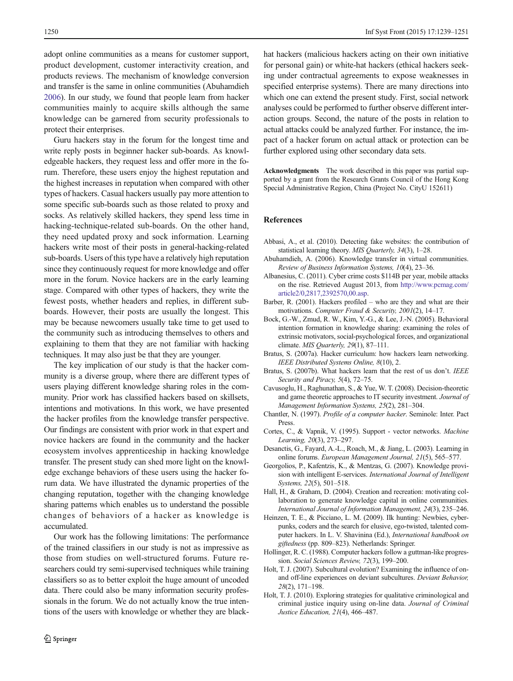<span id="page-11-0"></span>adopt online communities as a means for customer support, product development, customer interactivity creation, and products reviews. The mechanism of knowledge conversion and transfer is the same in online communities (Abuhamdieh 2006). In our study, we found that people learn from hacker communities mainly to acquire skills although the same knowledge can be garnered from security professionals to protect their enterprises.

Guru hackers stay in the forum for the longest time and write reply posts in beginner hacker sub-boards. As knowledgeable hackers, they request less and offer more in the forum. Therefore, these users enjoy the highest reputation and the highest increases in reputation when compared with other types of hackers. Casual hackers usually pay more attention to some specific sub-boards such as those related to proxy and socks. As relatively skilled hackers, they spend less time in hacking-technique-related sub-boards. On the other hand, they need updated proxy and sock information. Learning hackers write most of their posts in general-hacking-related sub-boards. Users of this type have a relatively high reputation since they continuously request for more knowledge and offer more in the forum. Novice hackers are in the early learning stage. Compared with other types of hackers, they write the fewest posts, whether headers and replies, in different subboards. However, their posts are usually the longest. This may be because newcomers usually take time to get used to the community such as introducing themselves to others and explaining to them that they are not familiar with hacking techniques. It may also just be that they are younger.

The key implication of our study is that the hacker community is a diverse group, where there are different types of users playing different knowledge sharing roles in the community. Prior work has classified hackers based on skillsets, intentions and motivations. In this work, we have presented the hacker profiles from the knowledge transfer perspective. Our findings are consistent with prior work in that expert and novice hackers are found in the community and the hacker ecosystem involves apprenticeship in hacking knowledge transfer. The present study can shed more light on the knowledge exchange behaviors of these users using the hacker forum data. We have illustrated the dynamic properties of the changing reputation, together with the changing knowledge sharing patterns which enables us to understand the possible changes of behaviors of a hacker as knowledge is accumulated.

Our work has the following limitations: The performance of the trained classifiers in our study is not as impressive as those from studies on well-structured forums. Future researchers could try semi-supervised techniques while training classifiers so as to better exploit the huge amount of uncoded data. There could also be many information security professionals in the forum. We do not actually know the true intentions of the users with knowledge or whether they are black-

hat hackers (malicious hackers acting on their own initiative for personal gain) or white-hat hackers (ethical hackers seeking under contractual agreements to expose weaknesses in specified enterprise systems). There are many directions into which one can extend the present study. First, social network analyses could be performed to further observe different interaction groups. Second, the nature of the posts in relation to actual attacks could be analyzed further. For instance, the impact of a hacker forum on actual attack or protection can be further explored using other secondary data sets.

Acknowledgments The work described in this paper was partial supported by a grant from the Research Grants Council of the Hong Kong Special Administrative Region, China (Project No. CityU 152611)

#### References

- Abbasi, A., et al. (2010). Detecting fake websites: the contribution of statistical learning theory. MIS Quarterly, 34(3), 1-28.
- Abuhamdieh, A. (2006). Knowledge transfer in virtual communities. Review of Business Information Systems, 10(4), 23–36.
- Albanesius, C. (2011). Cyber crime costs \$114B per year, mobile attacks on the rise. Retrieved August 2013, from [http://www.pcmag.com/](http://www.pcmag.com/article2/0,2817,2392570,00.asp) [article2/0,2817,2392570,00.asp](http://www.pcmag.com/article2/0,2817,2392570,00.asp).
- Barber, R.  $(2001)$ . Hackers profiled who are they and what are their motivations. Computer Fraud & Security, 2001(2), 14–17.
- Bock, G.-W., Zmud, R. W., Kim, Y.-G., & Lee, J.-N. (2005). Behavioral intention formation in knowledge sharing: examining the roles of extrinsic motivators, social-psychological forces, and organizational climate. MIS Quarterly, 29(1), 87-111.
- Bratus, S. (2007a). Hacker curriculum: how hackers learn networking. IEEE Distributed Systems Online, 8(10), 2.
- Bratus, S. (2007b). What hackers learn that the rest of us don't. IEEE Security and Piracy, 5(4), 72-75.
- Cavusoglu, H., Raghunathan, S., & Yue, W. T. (2008). Decision-theoretic and game theoretic approaches to IT security investment. Journal of Management Information Systems, 25(2), 281–304.
- Chantler, N. (1997). Profile of a computer hacker. Seminole: Inter. Pact Press.
- Cortes, C., & Vapnik, V. (1995). Support vector networks. Machine Learning, 20(3), 273–297.
- Desanctis, G., Fayard, A.-L., Roach, M., & Jiang, L. (2003). Learning in online forums. European Management Journal, 21(5), 565–577.
- Georgolios, P., Kafentzis, K., & Mentzas, G. (2007). Knowledge provision with intelligent E-services. International Journal of Intelligent Systems, 22(5), 501–518.
- Hall, H., & Graham, D. (2004). Creation and recreation: motivating collaboration to generate knowledge capital in online communities. International Journal of Information Management, 24(3), 235–246.
- Heinzen, T. E., & Picciano, L. M. (2009). Ilk hunting: Newbies, cyberpunks, coders and the search for elusive, ego-twisted, talented computer hackers. In L. V. Shavinina (Ed.), International handbook on giftedness (pp. 809–823). Netherlands: Springer.
- Hollinger, R. C. (1988). Computer hackers follow a guttman-like progression. Social Sciences Review, 72(3), 199–200.
- Holt, T. J. (2007). Subcultural evolution? Examining the influence of onand off-line experiences on deviant subcultures. Deviant Behavior, 28(2), 171–198.
- Holt, T. J. (2010). Exploring strategies for qualitative criminological and criminal justice inquiry using on-line data. Journal of Criminal Justice Education, 21(4), 466–487.